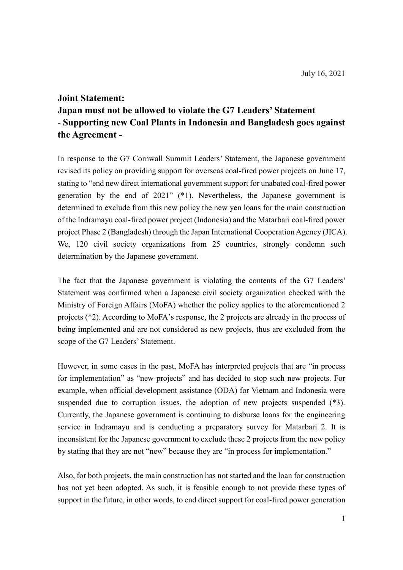### **Joint Statement:**

# **Japan must not be allowed to violate the G7 Leaders' Statement - Supporting new Coal Plants in Indonesia and Bangladesh goes against the Agreement -**

In response to the G7 Cornwall Summit Leaders' Statement, the Japanese government revised its policy on providing support for overseas coal-fired power projects on June 17, stating to "end new direct international government support for unabated coal-fired power generation by the end of 2021" (\*1). Nevertheless, the Japanese government is determined to exclude from this new policy the new yen loans for the main construction of the Indramayu coal-fired power project (Indonesia) and the Matarbari coal-fired power project Phase 2 (Bangladesh) through the Japan International Cooperation Agency (JICA). We, 120 civil society organizations from 25 countries, strongly condemn such determination by the Japanese government.

The fact that the Japanese government is violating the contents of the G7 Leaders' Statement was confirmed when a Japanese civil society organization checked with the Ministry of Foreign Affairs (MoFA) whether the policy applies to the aforementioned 2 projects (\*2). According to MoFA's response, the 2 projects are already in the process of being implemented and are not considered as new projects, thus are excluded from the scope of the G7 Leaders' Statement.

However, in some cases in the past, MoFA has interpreted projects that are "in process for implementation" as "new projects" and has decided to stop such new projects. For example, when official development assistance (ODA) for Vietnam and Indonesia were suspended due to corruption issues, the adoption of new projects suspended (\*3). Currently, the Japanese government is continuing to disburse loans for the engineering service in Indramayu and is conducting a preparatory survey for Matarbari 2. It is inconsistent for the Japanese government to exclude these 2 projects from the new policy by stating that they are not "new" because they are "in process for implementation."

Also, for both projects, the main construction has not started and the loan for construction has not yet been adopted. As such, it is feasible enough to not provide these types of support in the future, in other words, to end direct support for coal-fired power generation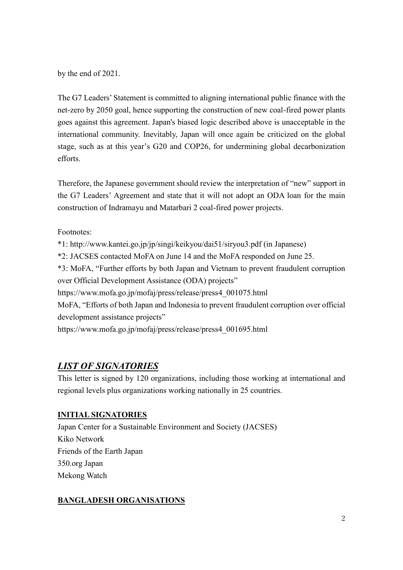by the end of 2021.

The G7 Leaders' Statement is committed to aligning international public finance with the net-zero by 2050 goal, hence supporting the construction of new coal-fired power plants goes against this agreement. Japan's biased logic described above is unacceptable in the international community. Inevitably, Japan will once again be criticized on the global stage, such as at this year's G20 and COP26, for undermining global decarbonization efforts.

Therefore, the Japanese government should review the interpretation of "new" support in the G7 Leaders' Agreement and state that it will not adopt an ODA loan for the main construction of Indramayu and Matarbari 2 coal-fired power projects.

Footnotes:

\*1: http://www.kantei.go.jp/jp/singi/keikyou/dai51/siryou3.pdf (in Japanese) \*2: JACSES contacted MoFA on June 14 and the MoFA responded on June 25. \*3: MoFA, "Further efforts by both Japan and Vietnam to prevent fraudulent corruption over Official Development Assistance (ODA) projects" https://www.mofa.go.jp/mofaj/press/release/press4\_001075.html MoFA, "Efforts of both Japan and Indonesia to prevent fraudulent corruption over official development assistance projects" https://www.mofa.go.jp/mofaj/press/release/press4\_001695.html

# *LIST OF SIGNATORIES*

This letter is signed by 120 organizations, including those working at international and regional levels plus organizations working nationally in 25 countries.

## **INITIAL SIGNATORIES**

Japan Center for a Sustainable Environment and Society (JACSES) Kiko Network Friends of the Earth Japan 350.org Japan Mekong Watch

## **BANGLADESH ORGANISATIONS**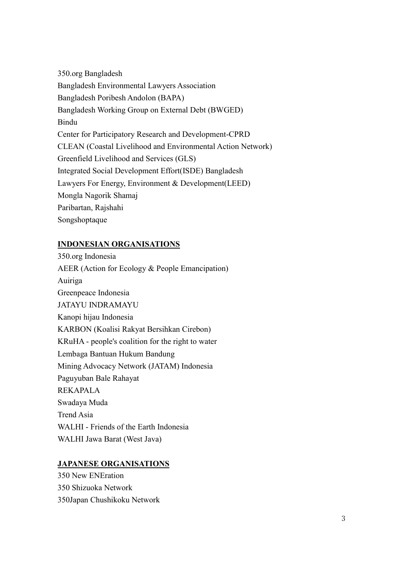350.org Bangladesh Bangladesh Environmental Lawyers Association Bangladesh Poribesh Andolon (BAPA) Bangladesh Working Group on External Debt (BWGED) Bindu Center for Participatory Research and Development-CPRD CLEAN (Coastal Livelihood and Environmental Action Network) Greenfield Livelihood and Services (GLS) Integrated Social Development Effort(ISDE) Bangladesh Lawyers For Energy, Environment & Development(LEED) Mongla Nagorik Shamaj Paribartan, Rajshahi Songshoptaque

## **INDONESIAN ORGANISATIONS**

350.org Indonesia AEER (Action for Ecology & People Emancipation) Auiriga Greenpeace Indonesia JATAYU INDRAMAYU Kanopi hijau Indonesia KARBON (Koalisi Rakyat Bersihkan Cirebon) KRuHA - people's coalition for the right to water Lembaga Bantuan Hukum Bandung Mining Advocacy Network (JATAM) Indonesia Paguyuban Bale Rahayat REKAPALA Swadaya Muda Trend Asia WALHI - Friends of the Earth Indonesia WALHI Jawa Barat (West Java)

## **JAPANESE ORGANISATIONS**

350 New ENEration 350 Shizuoka Network 350Japan Chushikoku Network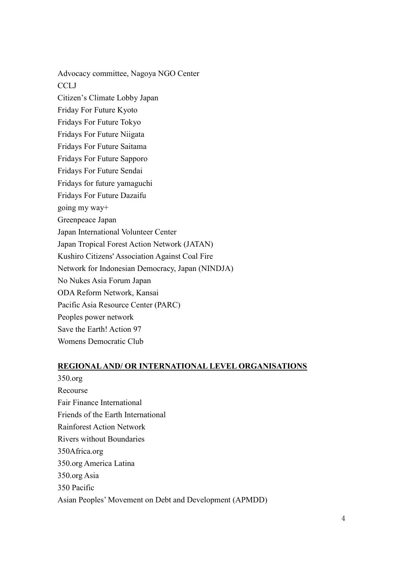Advocacy committee, Nagoya NGO Center **CCLJ** Citizen's Climate Lobby Japan Friday For Future Kyoto Fridays For Future Tokyo Fridays For Future Niigata Fridays For Future Saitama Fridays For Future Sapporo Fridays For Future Sendai Fridays for future yamaguchi Fridays For Future Dazaifu going my way+ Greenpeace Japan Japan International Volunteer Center Japan Tropical Forest Action Network (JATAN) Kushiro Citizens' Association Against Coal Fire Network for Indonesian Democracy, Japan (NINDJA) No Nukes Asia Forum Japan ODA Reform Network, Kansai Pacific Asia Resource Center (PARC) Peoples power network Save the Earth! Action 97 Womens Democratic Club

## **REGIONAL AND/ OR INTERNATIONAL LEVEL ORGANISATIONS**

350.org Recourse Fair Finance International Friends of the Earth International Rainforest Action Network Rivers without Boundaries 350Africa.org 350.org America Latina 350.org Asia 350 Pacific Asian Peoples' Movement on Debt and Development (APMDD)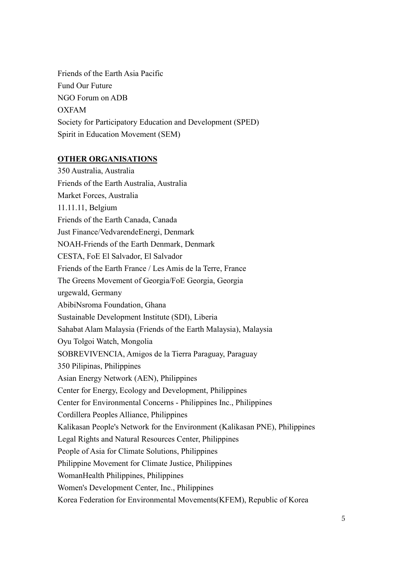Friends of the Earth Asia Pacific Fund Our Future NGO Forum on ADB OXFAM Society for Participatory Education and Development (SPED) Spirit in Education Movement (SEM)

## **OTHER ORGANISATIONS**

350 Australia, Australia Friends of the Earth Australia, Australia Market Forces, Australia 11.11.11, Belgium Friends of the Earth Canada, Canada Just Finance/VedvarendeEnergi, Denmark NOAH-Friends of the Earth Denmark, Denmark CESTA, FoE El Salvador, El Salvador Friends of the Earth France / Les Amis de la Terre, France The Greens Movement of Georgia/FoE Georgia, Georgia urgewald, Germany AbibiNsroma Foundation, Ghana Sustainable Development Institute (SDI), Liberia Sahabat Alam Malaysia (Friends of the Earth Malaysia), Malaysia Oyu Tolgoi Watch, Mongolia SOBREVIVENCIA, Amigos de la Tierra Paraguay, Paraguay 350 Pilipinas, Philippines Asian Energy Network (AEN), Philippines Center for Energy, Ecology and Development, Philippines Center for Environmental Concerns - Philippines Inc., Philippines Cordillera Peoples Alliance, Philippines Kalikasan People's Network for the Environment (Kalikasan PNE), Philippines Legal Rights and Natural Resources Center, Philippines People of Asia for Climate Solutions, Philippines Philippine Movement for Climate Justice, Philippines WomanHealth Philippines, Philippines Women's Development Center, Inc., Philippines Korea Federation for Environmental Movements(KFEM), Republic of Korea